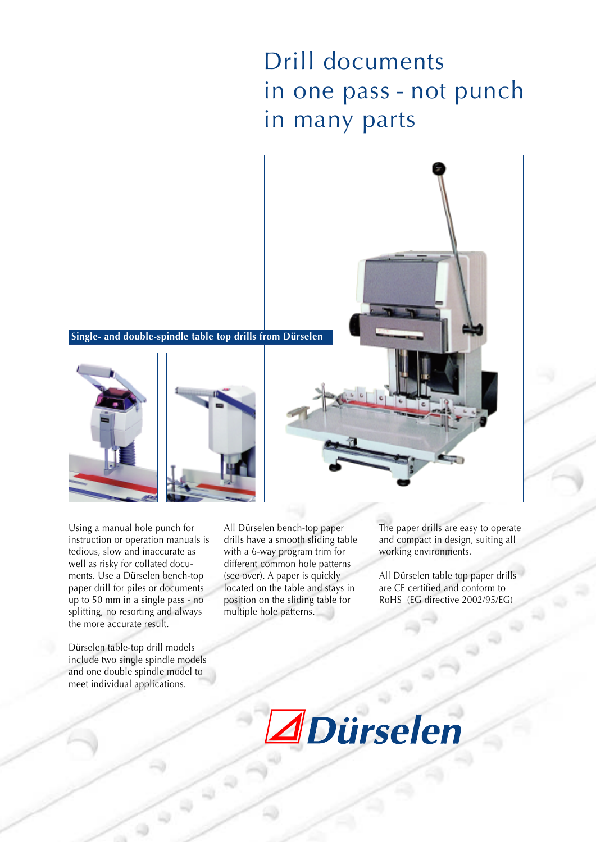# Drill documents in one pass - not punch in many parts



Using a manual hole punch for instruction or operation manuals is tedious, slow and inaccurate as well as risky for collated documents. Use a Dürselen bench-top paper drill for piles or documents up to 50 mm in a single pass - no splitting, no resorting and always the more accurate result.

Dürselen table-top drill models include two single spindle models and one double spindle model to meet individual applications.

 $\ddot{\phantom{1}}$ 

All Dürselen bench-top paper drills have a smooth sliding table with a 6-way program trim for different common hole patterns (see over). A paper is quickly located on the table and stays in position on the sliding table for multiple hole patterns.

The paper drills are easy to operate and compact in design, suiting all working environments.

All Dürselen table top paper drills are CE certified and conform to RoHS (EG directive 2002/95/EG)

 $\begin{matrix} 0 \\ 0 \end{matrix}$ 

 $\sqrt{2}$ 

 $\Rightarrow$ 

*IDürselen*